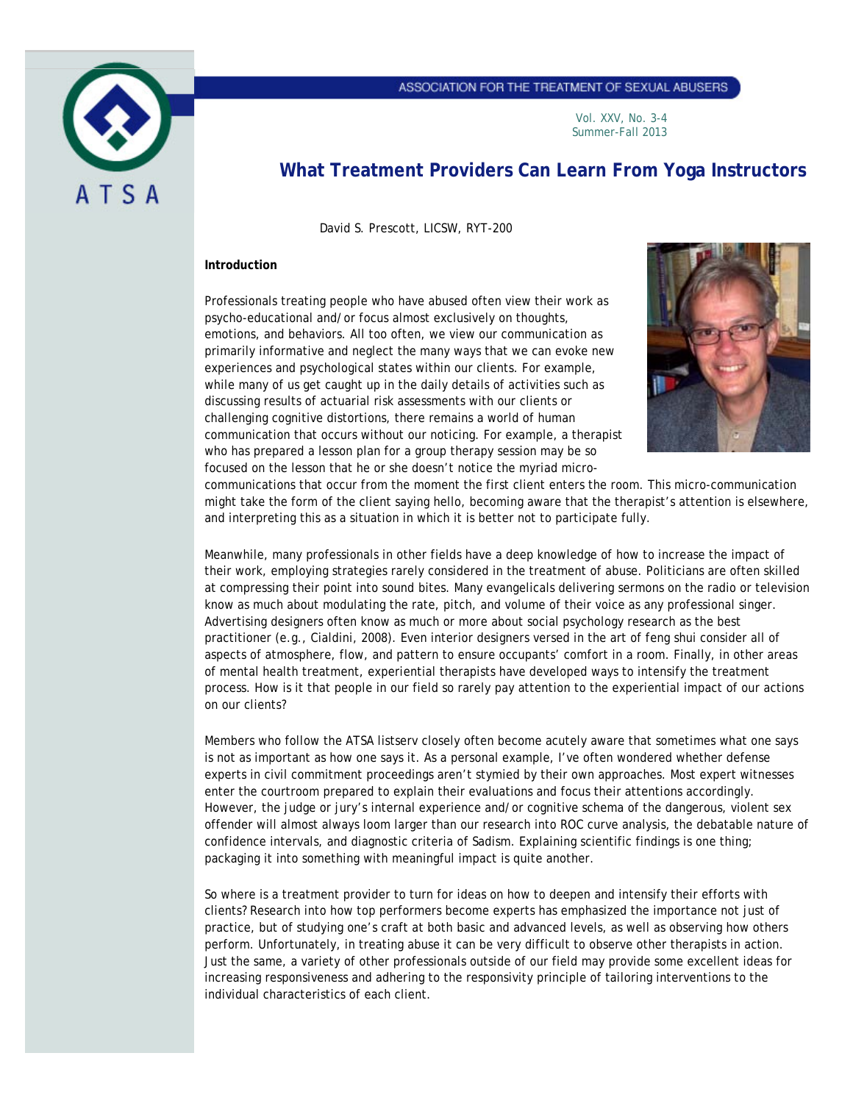

## ASSOCIATION FOR THE TREATMENT OF SEXUAL ABUSERS

Vol. XXV, No. 3-4 Summer-Fall 2013

# **What Treatment Providers Can Learn From Yoga Instructors**

David S. Prescott, LICSW, RYT-200

#### **Introduction**

Professionals treating people who have abused often view their work as psycho-educational and/or focus almost exclusively on thoughts, emotions, and behaviors. All too often, we view our communication as primarily informative and neglect the many ways that we can *evoke* new experiences and psychological states within our clients. For example, while many of us get caught up in the daily details of activities such as discussing results of actuarial risk assessments with our clients or challenging cognitive distortions, there remains a world of human communication that occurs without our noticing. For example, a therapist who has prepared a lesson plan for a group therapy session may be so focused on the lesson that he or she doesn't notice the myriad micro-



communications that occur from the moment the first client enters the room. This micro-communication might take the form of the client saying hello, becoming aware that the therapist's attention is elsewhere, and interpreting this as a situation in which it is better not to participate fully.

Meanwhile, many professionals in other fields have a deep knowledge of how to increase the impact of their work, employing strategies rarely considered in the treatment of abuse. Politicians are often skilled at compressing their point into sound bites. Many evangelicals delivering sermons on the radio or television know as much about modulating the rate, pitch, and volume of their voice as any professional singer. Advertising designers often know as much or more about social psychology research as the best practitioner (e.g., Cialdini, 2008). Even interior designers versed in the art of feng shui consider all of aspects of atmosphere, flow, and pattern to ensure occupants' comfort in a room. Finally, in other areas of mental health treatment, experiential therapists have developed ways to intensify the treatment process. How is it that people in our field so rarely pay attention to the experiential impact of our actions on our clients?

Members who follow the ATSA listserv closely often become acutely aware that sometimes what one says is not as important as how one says it. As a personal example, I've often wondered whether defense experts in civil commitment proceedings aren't stymied by their own approaches. Most expert witnesses enter the courtroom prepared to explain their evaluations and focus their attentions accordingly. However, the judge or jury's internal experience and/or cognitive schema of the dangerous, violent sex offender will almost always loom larger than our research into ROC curve analysis, the debatable nature of confidence intervals, and diagnostic criteria of Sadism. Explaining scientific findings is one thing; packaging it into something with meaningful impact is quite another.

So where is a treatment provider to turn for ideas on how to deepen and intensify their efforts with clients? Research into how top performers become experts has emphasized the importance not just of practice, but of studying one's craft at both basic and advanced levels, as well as observing how others perform. Unfortunately, in treating abuse it can be very difficult to observe other therapists in action. Just the same, a variety of other professionals outside of our field may provide some excellent ideas for increasing responsiveness and adhering to the responsivity principle of tailoring interventions to the individual characteristics of each client.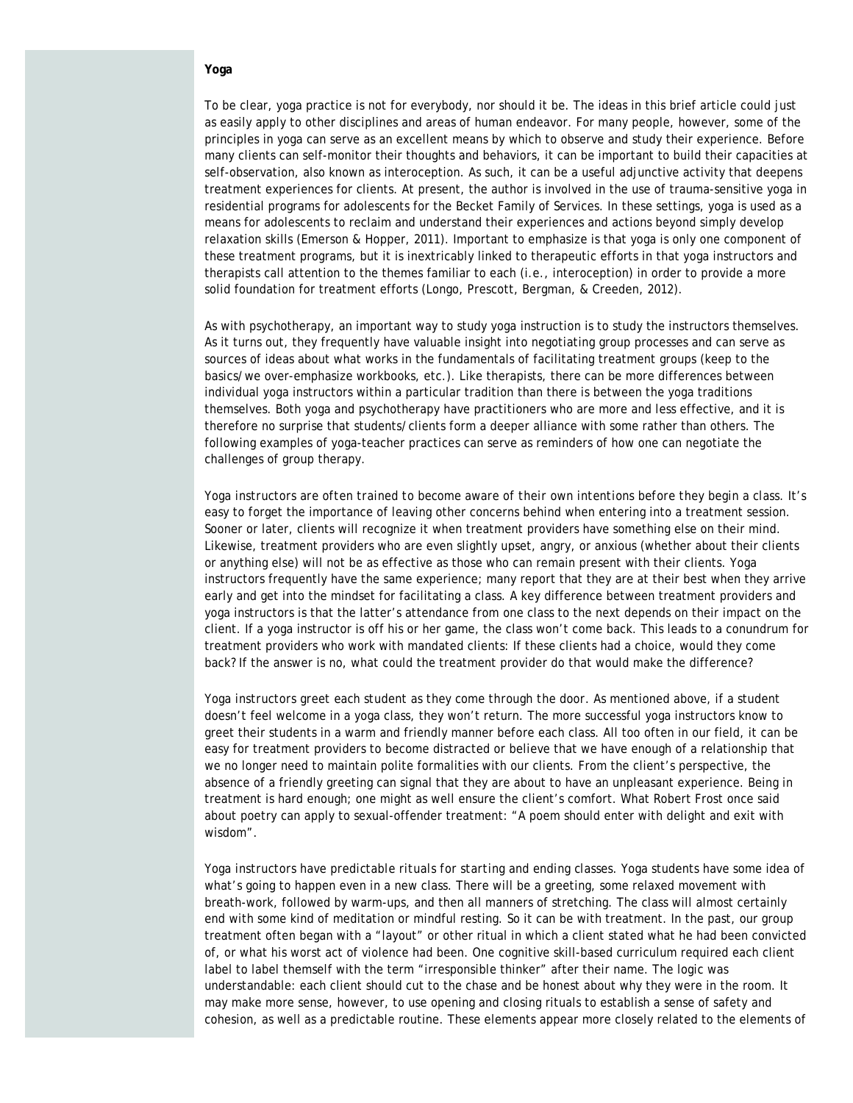## **Yoga**

To be clear, yoga practice is not for everybody, nor should it be. The ideas in this brief article could just as easily apply to other disciplines and areas of human endeavor. For many people, however, some of the principles in yoga can serve as an excellent means by which to observe and study their experience. Before many clients can self-monitor their thoughts and behaviors, it can be important to build their capacities at self-observation, also known as interoception. As such, it can be a useful adjunctive activity that deepens treatment experiences for clients. At present, the author is involved in the use of trauma-sensitive yoga in residential programs for adolescents for the Becket Family of Services. In these settings, yoga is used as a means for adolescents to reclaim and understand their experiences and actions beyond simply develop relaxation skills (Emerson & Hopper, 2011). Important to emphasize is that yoga is only one component of these treatment programs, but it is inextricably linked to therapeutic efforts in that yoga instructors and therapists call attention to the themes familiar to each (i.e., interoception) in order to provide a more solid foundation for treatment efforts (Longo, Prescott, Bergman, & Creeden, 2012).

As with psychotherapy, an important way to study yoga instruction is to study the instructors themselves. As it turns out, they frequently have valuable insight into negotiating group processes and can serve as sources of ideas about what works in the fundamentals of facilitating treatment groups (keep to the basics/we over-emphasize workbooks, etc.). Like therapists, there can be more differences between individual yoga instructors within a particular tradition than there is between the yoga traditions themselves. Both yoga and psychotherapy have practitioners who are more and less effective, and it is therefore no surprise that students/clients form a deeper alliance with some rather than others. The following examples of yoga-teacher practices can serve as reminders of how one can negotiate the challenges of group therapy.

*Yoga instructors are often trained to become aware of their own intentions before they begin a class*. It's easy to forget the importance of leaving other concerns behind when entering into a treatment session. Sooner or later, clients will recognize it when treatment providers have something else on their mind. Likewise, treatment providers who are even slightly upset, angry, or anxious (whether about their clients or anything else) will not be as effective as those who can remain present with their clients. Yoga instructors frequently have the same experience; many report that they are at their best when they arrive early and get into the mindset for facilitating a class. A key difference between treatment providers and yoga instructors is that the latter's attendance from one class to the next depends on their impact on the client. If a yoga instructor is off his or her game, the class won't come back. This leads to a conundrum for treatment providers who work with mandated clients: If these clients had a choice, would they come back? If the answer is no, what could the treatment provider do that would make the difference?

*Yoga instructors greet each student as they come through the door*. As mentioned above, if a student doesn't feel welcome in a yoga class, they won't return. The more successful yoga instructors know to greet their students in a warm and friendly manner before each class. All too often in our field, it can be easy for treatment providers to become distracted or believe that we have enough of a relationship that we no longer need to maintain polite formalities with our clients. From the client's perspective, the absence of a friendly greeting can signal that they are about to have an unpleasant experience. Being in treatment is hard enough; one might as well ensure the client's comfort. What Robert Frost once said about poetry can apply to sexual-offender treatment: "A poem should enter with delight and exit with wisdom".

*Yoga instructors have predictable rituals for starting and ending classes*. Yoga students have some idea of what's going to happen even in a new class. There will be a greeting, some relaxed movement with breath-work, followed by warm-ups, and then all manners of stretching. The class will almost certainly end with some kind of meditation or mindful resting. So it can be with treatment. In the past, our group treatment often began with a "layout" or other ritual in which a client stated what he had been convicted of, or what his worst act of violence had been. One cognitive skill-based curriculum required each client label to label themself with the term "irresponsible thinker" after their name. The logic was understandable: each client should cut to the chase and be honest about why they were in the room. It may make more sense, however, to use opening and closing rituals to establish a sense of safety and cohesion, as well as a predictable routine. These elements appear more closely related to the elements of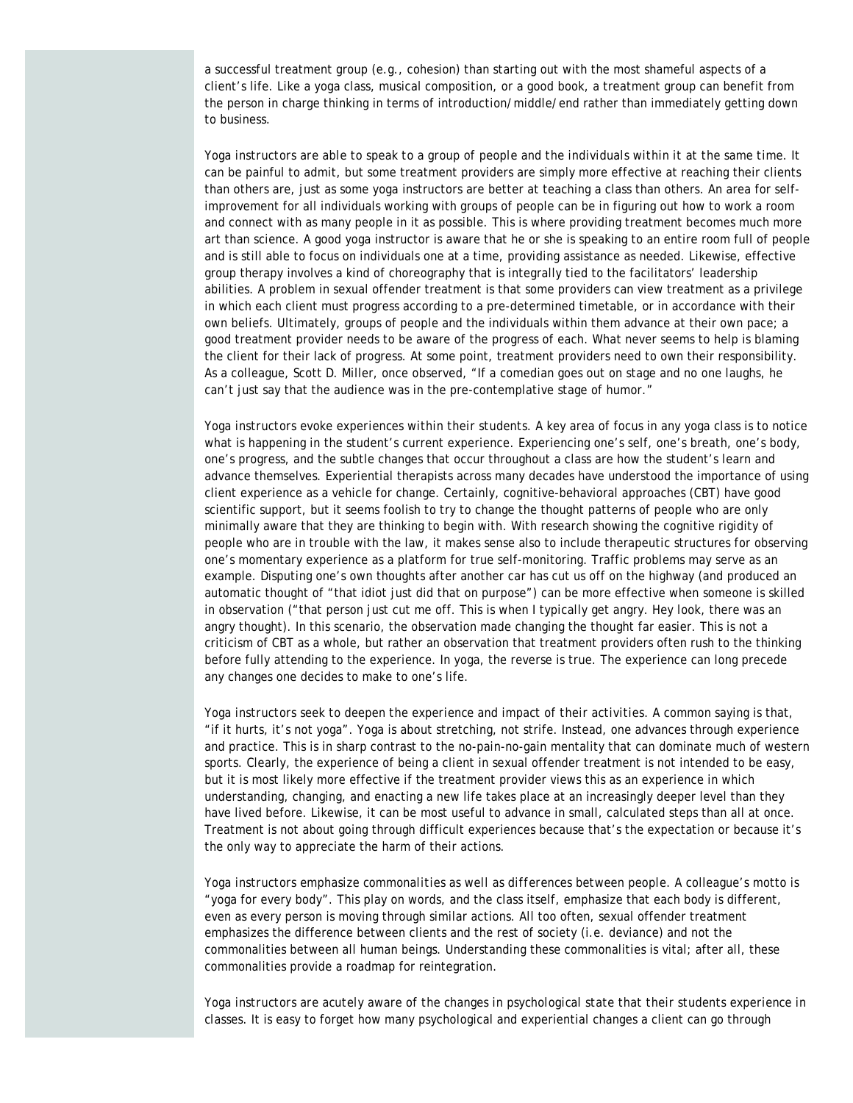a successful treatment group (e.g., cohesion) than starting out with the most shameful aspects of a client's life. Like a yoga class, musical composition, or a good book, a treatment group can benefit from the person in charge thinking in terms of introduction/middle/end rather than immediately getting down to business.

*Yoga instructors are able to speak to a group of people and the individuals within it at the same time*. It can be painful to admit, but some treatment providers are simply more effective at reaching their clients than others are, just as some yoga instructors are better at teaching a class than others. An area for selfimprovement for all individuals working with groups of people can be in figuring out how to work a room and connect with as many people in it as possible. This is where providing treatment becomes much more art than science. A good yoga instructor is aware that he or she is speaking to an entire room full of people and is still able to focus on individuals one at a time, providing assistance as needed. Likewise, effective group therapy involves a kind of choreography that is integrally tied to the facilitators' leadership abilities. A problem in sexual offender treatment is that some providers can view treatment as a privilege in which each client must progress according to a pre-determined timetable, or in accordance with their own beliefs. Ultimately, groups of people and the individuals within them advance at their own pace; a good treatment provider needs to be aware of the progress of each. What never seems to help is blaming the client for their lack of progress. At some point, treatment providers need to own their responsibility. As a colleague, Scott D. Miller, once observed, "If a comedian goes out on stage and no one laughs, he can't just say that the audience was in the pre-contemplative stage of humor."

*Yoga instructors evoke experiences within their students*. A key area of focus in any yoga class is to notice what is happening in the student's current experience. Experiencing one's self, one's breath, one's body, one's progress, and the subtle changes that occur throughout a class are how the student's learn and advance themselves. Experiential therapists across many decades have understood the importance of using client experience as a vehicle for change. Certainly, cognitive-behavioral approaches (CBT) have good scientific support, but it seems foolish to try to change the thought patterns of people who are only minimally aware that they are thinking to begin with. With research showing the cognitive rigidity of people who are in trouble with the law, it makes sense also to include therapeutic structures for observing one's momentary experience as a platform for true self-monitoring. Traffic problems may serve as an example. Disputing one's own thoughts after another car has cut us off on the highway (and produced an automatic thought of "that idiot just did that on purpose") can be more effective when someone is skilled in observation ("that person just cut me off. This is when I typically get angry. Hey look, there was an angry thought). In this scenario, the observation made changing the thought far easier. This is not a criticism of CBT as a whole, but rather an observation that treatment providers often rush to the thinking before fully attending to the experience. In yoga, the reverse is true. The experience can long precede any changes one decides to make to one's life.

*Yoga instructors seek to deepen the experience and impact of their activities*. A common saying is that, "if it hurts, it's not yoga". Yoga is about stretching, not strife. Instead, one advances through experience and practice. This is in sharp contrast to the no-pain-no-gain mentality that can dominate much of western sports. Clearly, the experience of being a client in sexual offender treatment is not intended to be easy, but it is most likely more effective if the treatment provider views this as an experience in which understanding, changing, and enacting a new life takes place at an increasingly deeper level than they have lived before. Likewise, it can be most useful to advance in small, calculated steps than all at once. Treatment is not about going through difficult experiences because that's the expectation or because it's the only way to appreciate the harm of their actions.

*Yoga instructors emphasize commonalities as well as differences between people*. A colleague's motto is "yoga for every body". This play on words, and the class itself, emphasize that each body is different, even as every person is moving through similar actions. All too often, sexual offender treatment emphasizes the difference between clients and the rest of society (i.e. deviance) and not the commonalities between all human beings. Understanding these commonalities is vital; after all, these commonalities provide a roadmap for reintegration.

*Yoga instructors are acutely aware of the changes in psychological state that their students experience in classes*. It is easy to forget how many psychological and experiential changes a client can go through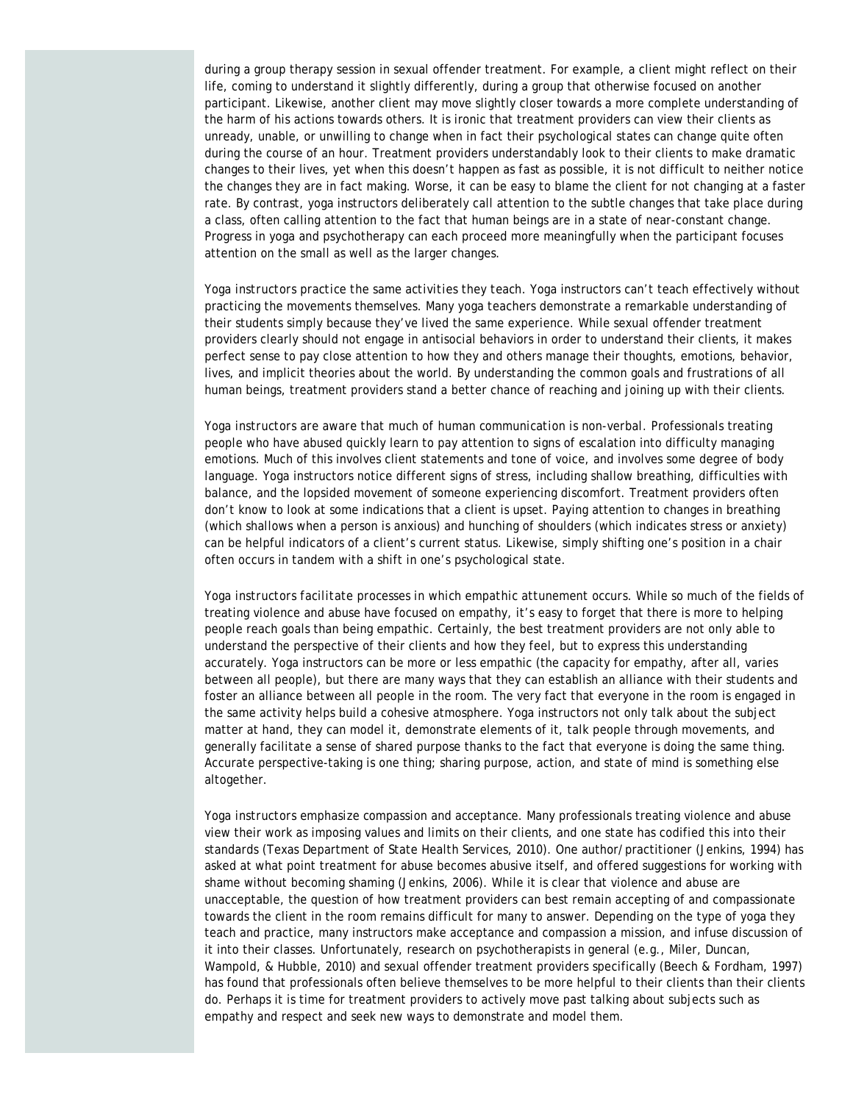during a group therapy session in sexual offender treatment. For example, a client might reflect on their life, coming to understand it slightly differently, during a group that otherwise focused on another participant. Likewise, another client may move slightly closer towards a more complete understanding of the harm of his actions towards others. It is ironic that treatment providers can view their clients as unready, unable, or unwilling to change when in fact their psychological states can change quite often during the course of an hour. Treatment providers understandably look to their clients to make dramatic changes to their lives, yet when this doesn't happen as fast as possible, it is not difficult to neither notice the changes they are in fact making. Worse, it can be easy to blame the client for not changing at a faster rate. By contrast, yoga instructors deliberately call attention to the subtle changes that take place during a class, often calling attention to the fact that human beings are in a state of near-constant change. Progress in yoga and psychotherapy can each proceed more meaningfully when the participant focuses attention on the small as well as the larger changes.

*Yoga instructors practice the same activities they teach*. Yoga instructors can't teach effectively without practicing the movements themselves. Many yoga teachers demonstrate a remarkable understanding of their students simply because they've lived the same experience. While sexual offender treatment providers clearly should not engage in antisocial behaviors in order to understand their clients, it makes perfect sense to pay close attention to how they and others manage their thoughts, emotions, behavior, lives, and implicit theories about the world. By understanding the common goals and frustrations of all human beings, treatment providers stand a better chance of reaching and joining up with their clients.

*Yoga instructors are aware that much of human communication is non-verbal*. Professionals treating people who have abused quickly learn to pay attention to signs of escalation into difficulty managing emotions. Much of this involves client statements and tone of voice, and involves some degree of body language. Yoga instructors notice different signs of stress, including shallow breathing, difficulties with balance, and the lopsided movement of someone experiencing discomfort. Treatment providers often don't know to look at some indications that a client is upset. Paying attention to changes in breathing (which shallows when a person is anxious) and hunching of shoulders (which indicates stress or anxiety) can be helpful indicators of a client's current status. Likewise, simply shifting one's position in a chair often occurs in tandem with a shift in one's psychological state.

*Yoga instructors facilitate processes in which empathic attunement occurs*. While so much of the fields of treating violence and abuse have focused on empathy, it's easy to forget that there is more to helping people reach goals than being empathic. Certainly, the best treatment providers are not only able to understand the perspective of their clients and how they feel, but to express this understanding accurately. Yoga instructors can be more or less empathic (the capacity for empathy, after all, varies between all people), but there are many ways that they can establish an alliance with their students and foster an alliance between all people in the room. The very fact that everyone in the room is engaged in the same activity helps build a cohesive atmosphere. Yoga instructors not only talk about the subject matter at hand, they can model it, demonstrate elements of it, talk people through movements, and generally facilitate a sense of shared purpose thanks to the fact that everyone is doing the same thing. Accurate perspective-taking is one thing; sharing purpose, action, and state of mind is something else altogether.

*Yoga instructors emphasize compassion and acceptance*. Many professionals treating violence and abuse view their work as imposing values and limits on their clients, and one state has codified this into their standards (Texas Department of State Health Services, 2010). One author/practitioner (Jenkins, 1994) has asked at what point treatment for abuse becomes abusive itself, and offered suggestions for working with shame without becoming shaming (Jenkins, 2006). While it is clear that violence and abuse are unacceptable, the question of how treatment providers can best remain accepting of and compassionate towards the client in the room remains difficult for many to answer. Depending on the type of yoga they teach and practice, many instructors make acceptance and compassion a mission, and infuse discussion of it into their classes. Unfortunately, research on psychotherapists in general (e.g., Miler, Duncan, Wampold, & Hubble, 2010) and sexual offender treatment providers specifically (Beech & Fordham, 1997) has found that professionals often believe themselves to be more helpful to their clients than their clients do. Perhaps it is time for treatment providers to actively move past talking about subjects such as empathy and respect and seek new ways to demonstrate and model them.